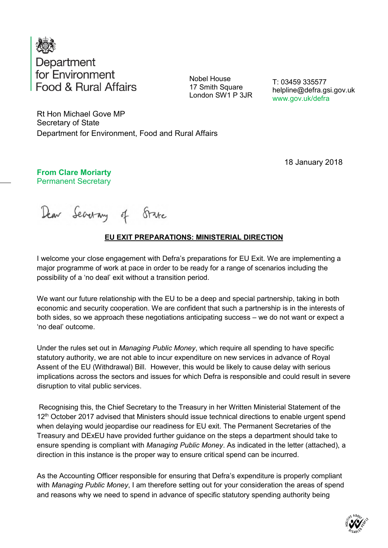

Nobel House 17 Smith Square London SW1 P 3JR

T: 03459 335577 helpline@defra.gsi.gov.uk www.gov.uk/defra

Rt Hon Michael Gove MP Secretary of State Department for Environment, Food and Rural Affairs

18 January 2018

**From Clare Moriarty** Permanent Secretary

Dear Searing of State

## **EU EXIT PREPARATIONS: MINISTERIAL DIRECTION**

I welcome your close engagement with Defra's preparations for EU Exit. We are implementing a major programme of work at pace in order to be ready for a range of scenarios including the possibility of a 'no deal' exit without a transition period.

We want our future relationship with the EU to be a deep and special partnership, taking in both economic and security cooperation. We are confident that such a partnership is in the interests of both sides, so we approach these negotiations anticipating success – we do not want or expect a 'no deal' outcome.

Under the rules set out in *Managing Public Money*, which require all spending to have specific statutory authority, we are not able to incur expenditure on new services in advance of Royal Assent of the EU (Withdrawal) Bill. However, this would be likely to cause delay with serious implications across the sectors and issues for which Defra is responsible and could result in severe disruption to vital public services.

Recognising this, the Chief Secretary to the Treasury in her Written Ministerial Statement of the 12<sup>th</sup> October 2017 advised that Ministers should issue technical directions to enable urgent spend when delaying would jeopardise our readiness for EU exit. The Permanent Secretaries of the Treasury and DExEU have provided further guidance on the steps a department should take to ensure spending is compliant with *Managing Public Money*. As indicated in the letter (attached), a direction in this instance is the proper way to ensure critical spend can be incurred.

As the Accounting Officer responsible for ensuring that Defra's expenditure is properly compliant with *Managing Public Money*, I am therefore setting out for your consideration the areas of spend and reasons why we need to spend in advance of specific statutory spending authority being